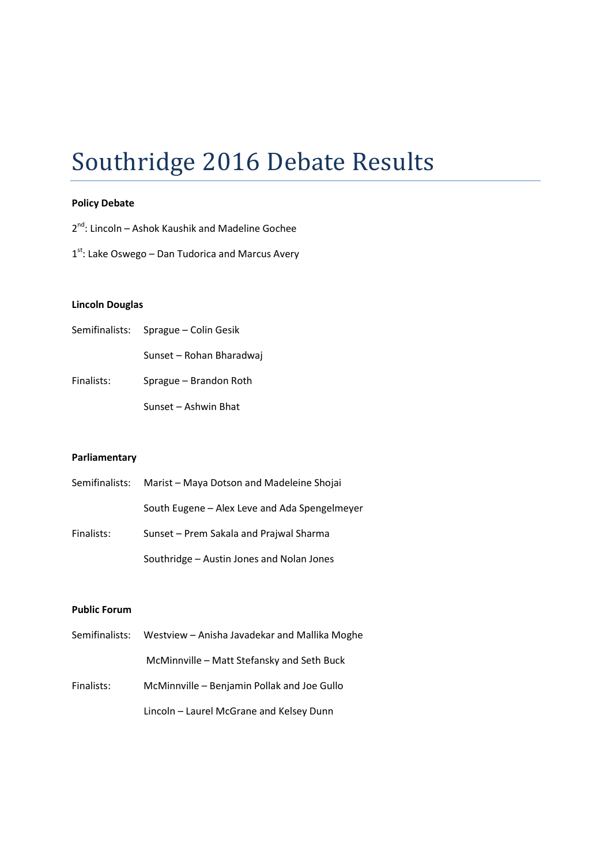## Southridge 2016 Debate Results

#### Policy Debate

2<sup>nd</sup>: Lincoln – Ashok Kaushik and Madeline Gochee

1<sup>st</sup>: Lake Oswego – Dan Tudorica and Marcus Avery

#### Lincoln Douglas

| Semifinalists: Sprague - Colin Gesik |  |
|--------------------------------------|--|
|                                      |  |

Sunset – Rohan Bharadwaj

Finalists: Sprague – Brandon Roth

Sunset – Ashwin Bhat

#### Parliamentary

|            | Semifinalists: Marist – Maya Dotson and Madeleine Shojai |
|------------|----------------------------------------------------------|
|            | South Eugene – Alex Leve and Ada Spengelmeyer            |
| Finalists: | Sunset – Prem Sakala and Prajwal Sharma                  |
|            | Southridge – Austin Jones and Nolan Jones                |

#### Public Forum

|            | Semifinalists: Westview - Anisha Javadekar and Mallika Moghe |
|------------|--------------------------------------------------------------|
|            | McMinnville – Matt Stefansky and Seth Buck                   |
| Finalists: | McMinnville – Benjamin Pollak and Joe Gullo                  |
|            | Lincoln - Laurel McGrane and Kelsey Dunn                     |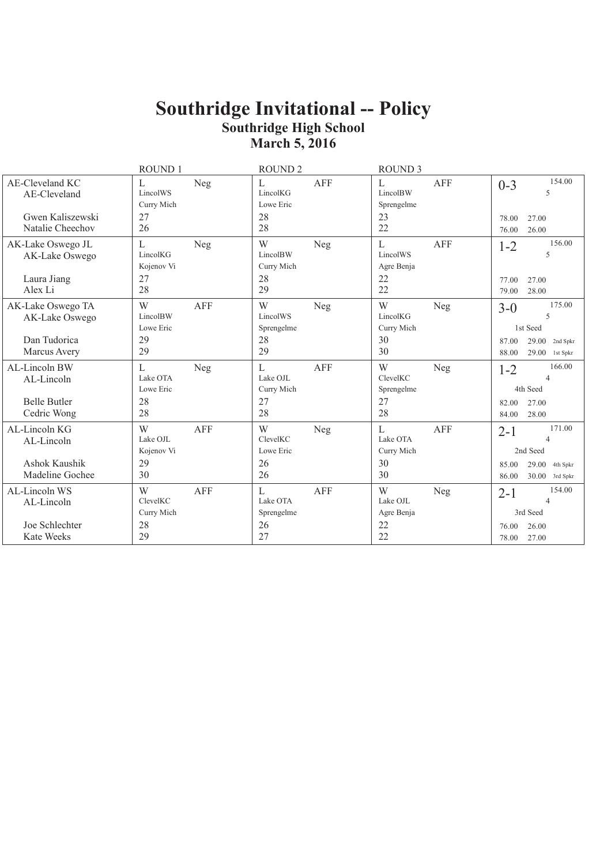|                                                     | ROUND 1                                   | <b>ROUND 2</b>                                 | <b>ROUND 3</b>                            |                                                         |
|-----------------------------------------------------|-------------------------------------------|------------------------------------------------|-------------------------------------------|---------------------------------------------------------|
| AE-Cleveland KC<br>AE-Cleveland<br>Gwen Kaliszewski | Neg<br>L<br>LincolWS<br>Curry Mich<br>27  | <b>AFF</b><br>L<br>LincolKG<br>Lowe Eric<br>28 | AFF<br>L<br>LincolBW<br>Sprengelme<br>23  | 154.00<br>$0 - 3$<br>5<br>27.00<br>78.00                |
| Natalie Cheechov                                    | 26                                        | 28                                             | 22                                        | 26.00<br>76.00                                          |
| AK-Lake Oswego JL<br>AK-Lake Oswego<br>Laura Jiang  | L<br>Neg<br>LincolKG<br>Kojenov Vi<br>27  | W<br>Neg<br>LincolBW<br>Curry Mich<br>28       | L<br>AFF<br>LincolWS<br>Agre Benja<br>22  | 156.00<br>$1 - 2$<br>5<br>27.00<br>77.00                |
| Alex Li                                             | 28                                        | 29                                             | 22                                        | 28.00<br>79.00                                          |
| AK-Lake Oswego TA<br>AK-Lake Oswego                 | W<br><b>AFF</b><br>LincolBW<br>Lowe Eric  | W<br>Neg<br>LincolWS<br>Sprengelme             | W<br>Neg<br>LincolKG<br>Curry Mich        | 175.00<br>$3-0$<br>5<br>1st Seed                        |
| Dan Tudorica<br>Marcus Avery                        | 29<br>29                                  | 28<br>29                                       | 30<br>30                                  | $29.00$ 2nd Spkr<br>87.00<br>88.00<br>29.00 1st Spkr    |
| AL-Lincoln BW<br>AL-Lincoln                         | L<br>Neg<br>Lake OTA<br>Lowe Eric         | L<br><b>AFF</b><br>Lake OJL<br>Curry Mich      | W<br>Neg<br>ClevelKC<br>Sprengelme        | 166.00<br>$1 - 2$<br>4<br>4th Seed                      |
| <b>Belle Butler</b><br>Cedric Wong                  | 28<br>28                                  | 27<br>28                                       | 27<br>28                                  | 27.00<br>82.00<br>84.00<br>28.00                        |
| AL-Lincoln KG<br>AL-Lincoln                         | W<br>AFF<br>Lake OJL<br>Kojenov Vi        | W<br>Neg<br>ClevelKC<br>Lowe Eric              | L<br><b>AFF</b><br>Lake OTA<br>Curry Mich | 171.00<br>$2 - 1$<br>4<br>2nd Seed                      |
| Ashok Kaushik<br>Madeline Gochee                    | 29<br>30                                  | 26<br>26                                       | 30<br>30                                  | 29.00<br>4th Spkr<br>85.00<br>$30.00$ 3rd Spkr<br>86.00 |
| AL-Lincoln WS<br>AL-Lincoln                         | W<br><b>AFF</b><br>ClevelKC<br>Curry Mich | L<br><b>AFF</b><br>Lake OTA<br>Sprengelme      | W<br>Neg<br>Lake OJL<br>Agre Benja        | 154.00<br>$2 - 1$<br>$\overline{4}$<br>3rd Seed         |
| Joe Schlechter<br><b>Kate Weeks</b>                 | 28<br>29                                  | 26<br>27                                       | 22<br>22                                  | 26.00<br>76.00<br>78.00<br>27.00                        |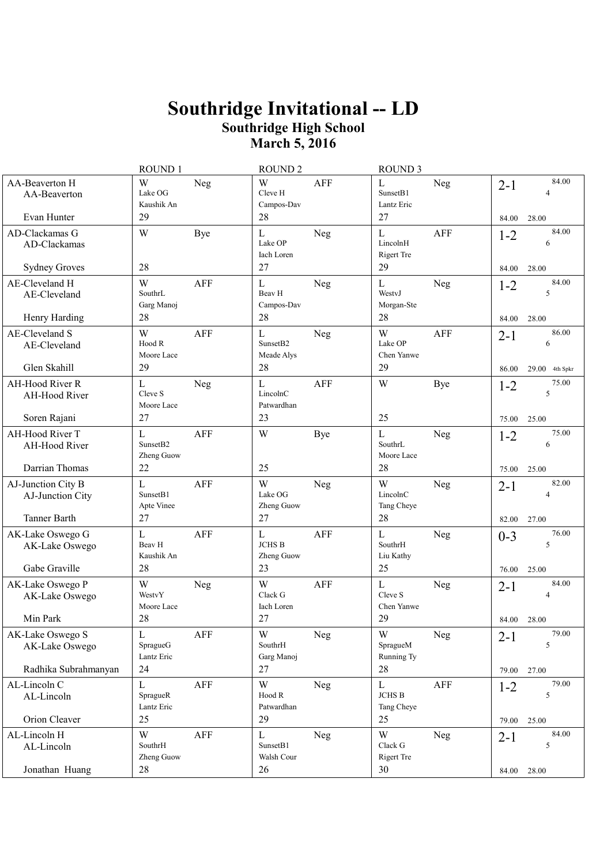|                                                                            | ROUND 1                                         |            | <b>ROUND 2</b>                                          |            | <b>ROUND 3</b>                                   |             |                           |                                  |
|----------------------------------------------------------------------------|-------------------------------------------------|------------|---------------------------------------------------------|------------|--------------------------------------------------|-------------|---------------------------|----------------------------------|
| AA-Beaverton H<br>AA-Beaverton<br>Evan Hunter                              | W<br>Lake OG<br>Kaushik An<br>29                | Neg        | W<br>Cleve H<br>Campos-Dav<br>28                        | AFF        | L<br>Sunset <sub>B1</sub><br>Lantz Eric<br>27    | Neg         | $2 - 1$<br>84.00          | 84.00<br>4<br>28.00              |
| AD-Clackamas G<br>AD-Clackamas<br><b>Sydney Groves</b>                     | W<br>28                                         | <b>Bye</b> | L<br>Lake OP<br>Iach Loren<br>27                        | Neg        | L<br>LincolnH<br>Rigert Tre<br>29                | <b>AFF</b>  | $1 - 2$<br>84.00          | 84.00<br>6<br>28.00              |
| AE-Cleveland H<br>AE-Cleveland<br>Henry Harding                            | W<br>SouthrL<br>Garg Manoj<br>28                | AFF        | L<br>Beav H<br>Campos-Dav<br>28                         | Neg        | L<br>WestvJ<br>Morgan-Ste<br>28                  | Neg         | $1 - 2$<br>84.00          | 84.00<br>5<br>28.00              |
| AE-Cleveland S<br>AE-Cleveland<br>Glen Skahill                             | W<br>Hood R<br>Moore Lace<br>29                 | AFF        | $\mathbf L$<br>Sunset <sub>B2</sub><br>Meade Alys<br>28 | Neg        | W<br>Lake OP<br>Chen Yanwe<br>29                 | <b>AFF</b>  | $2 - 1$<br>86.00          | 86.00<br>6<br>29.00 4th Spkr     |
| AH-Hood River R<br>AH-Hood River<br>Soren Rajani                           | L<br>Cleve S<br>Moore Lace<br>27                | Neg        | L<br>LincolnC<br>Patwardhan<br>23                       | <b>AFF</b> | W<br>25                                          | <b>Bye</b>  | $1 - 2$                   | 75.00<br>5<br>25.00              |
| AH-Hood River T<br>AH-Hood River                                           | L<br>Sunset <sub>B2</sub><br>Zheng Guow         | AFF        | W                                                       | Bye        | L<br>SouthrL<br>Moore Lace                       | Neg         | 75.00<br>$1 - 2$          | 75.00<br>6                       |
| Darrian Thomas<br>AJ-Junction City B<br>AJ-Junction City                   | 22<br>L<br>Sunset <sub>B1</sub><br>Apte Vinee   | AFF        | 25<br>W<br>Lake OG<br>Zheng Guow                        | Neg        | 28<br>W<br>LincolnC<br>Tang Cheye                | Neg         | 75.00<br>$2 - 1$          | 25.00<br>82.00<br>4              |
| <b>Tanner Barth</b><br>AK-Lake Oswego G<br>AK-Lake Oswego<br>Gabe Graville | 27<br>$\mathbf L$<br>Beav H<br>Kaushik An<br>28 | <b>AFF</b> | 27<br>$\mathbf L$<br>$JCHS$ $\bf B$<br>Zheng Guow<br>23 | <b>AFF</b> | 28<br>$\mathbf{L}$<br>SouthrH<br>Liu Kathy<br>25 | Neg         | 82.00<br>$0 - 3$<br>76.00 | 27.00<br>76.00<br>5<br>25.00     |
| AK-Lake Oswego P<br>AK-Lake Oswego<br>Min Park                             | W<br>WestvY<br>Moore Lace<br>28                 | Neg        | W<br>Clack G<br>Iach Loren<br>27                        | <b>AFF</b> | L<br>Cleve S<br>Chen Yanwe<br>29                 | <b>Neg</b>  | $2 - 1$<br>84.00          | 84.00<br>$\overline{4}$<br>28.00 |
| AK-Lake Oswego S<br>AK-Lake Oswego<br>Radhika Subrahmanyan                 | L<br>SpragueG<br>Lantz Eric<br>24               | AFF        | W<br>SouthrH<br>Garg Manoj<br>27                        | <b>Neg</b> | W<br>SpragueM<br>Running Ty<br>28                | Neg         | $2 - 1$<br>79.00          | 79.00<br>5<br>27.00              |
| AL-Lincoln C<br>AL-Lincoln<br>Orion Cleaver                                | L<br>SpragueR<br>Lantz Eric<br>25               | AFF        | W<br>Hood R<br>Patwardhan<br>29                         | Neg        | $\mathbf L$<br><b>JCHS B</b><br>Tang Cheye<br>25 | ${\rm AFF}$ | $1 - 2$<br>79.00          | 79.00<br>5<br>25.00              |
| AL-Lincoln H<br>AL-Lincoln                                                 | W<br>SouthrH<br>Zheng Guow                      | AFF        | L<br>SunsetB1<br>Walsh Cour                             | Neg        | W<br>Clack G<br><b>Rigert Tre</b>                | Neg         | $2 - 1$                   | 84.00<br>5                       |
| Jonathan Huang                                                             | 28                                              |            | 26                                                      |            | 30                                               |             | 84.00 28.00               |                                  |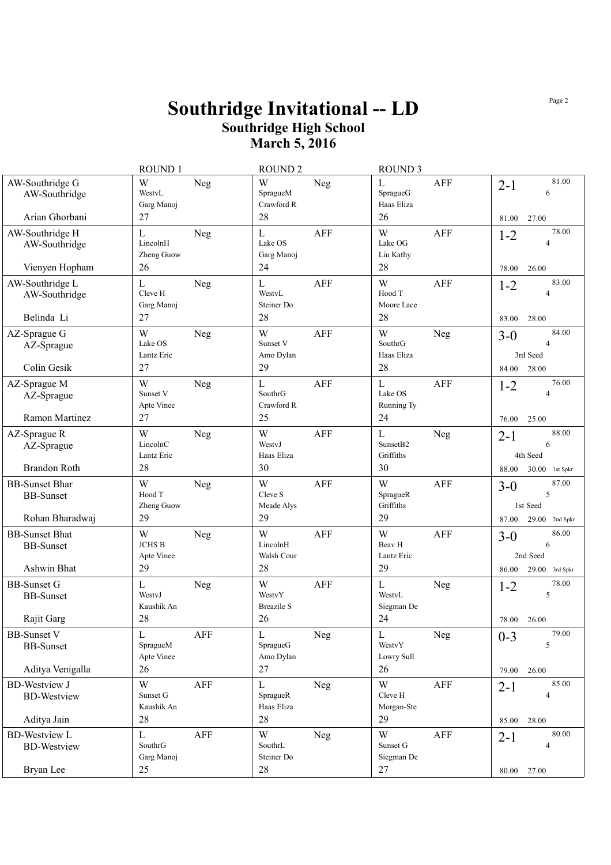|                                                              | ROUND 1                                       | <b>ROUND 2</b>                                       | <b>ROUND 3</b>                                 |                                                                  |
|--------------------------------------------------------------|-----------------------------------------------|------------------------------------------------------|------------------------------------------------|------------------------------------------------------------------|
| AW-Southridge G<br>AW-Southridge                             | W<br>Neg<br>WestyL<br>Garg Manoj              | W<br>Neg<br>SpragueM<br>Crawford R                   | L<br>AFF<br>SpragueG<br>Haas Eliza             | 81.00<br>$2 - 1$<br>6                                            |
| Arian Ghorbani                                               | 27                                            | 28                                                   | 26                                             | 81.00<br>27.00                                                   |
| AW-Southridge H<br>AW-Southridge                             | $\mathbf L$<br>Neg<br>LincolnH<br>Zheng Guow  | $\mathbf L$<br><b>AFF</b><br>Lake OS<br>Garg Manoj   | W<br><b>AFF</b><br>Lake OG<br>Liu Kathy        | 78.00<br>$1 - 2$<br>$\overline{A}$                               |
| Vienyen Hopham                                               | 26                                            | 24                                                   | 28                                             | 78.00<br>26.00                                                   |
| AW-Southridge L<br>AW-Southridge<br>Belinda Li               | L<br>Neg<br>Cleve H<br>Garg Manoj<br>27       | L<br>AFF<br>WestvL<br>Steiner Do<br>28               | W<br>AFF<br>Hood T<br>Moore Lace<br>28         | 83.00<br>$1 - 2$<br>$\overline{4}$<br>83.00<br>28.00             |
| AZ-Sprague G<br>AZ-Sprague<br>Colin Gesik                    | W<br>Neg<br>Lake OS<br>Lantz Eric<br>27       | W<br><b>AFF</b><br>Sunset V<br>Amo Dylan<br>29       | W<br>Neg<br>SouthrG<br>Haas Eliza<br>28        | 84.00<br>$3 - 0$<br>$\overline{4}$<br>3rd Seed<br>84.00<br>28.00 |
| AZ-Sprague M<br>AZ-Sprague                                   | W<br>Neg<br>Sunset V<br>Apte Vinee            | $\mathbf{L}$<br><b>AFF</b><br>SouthrG<br>Crawford R  | L<br>AFF<br>Lake OS<br>Running Ty              | 76.00<br>$1 - 2$<br>$\overline{4}$                               |
| <b>Ramon Martinez</b>                                        | 27                                            | 25                                                   | 24                                             | 25.00<br>76.00                                                   |
| AZ-Sprague R<br>AZ-Sprague                                   | W<br>Neg<br>LincolnC<br>Lantz Eric            | W<br>AFF<br>WestyJ<br>Haas Eliza                     | L<br>Neg<br>Sunset <sub>B2</sub><br>Griffiths  | 88.00<br>$2 - 1$<br>6<br>4th Seed                                |
| <b>Brandon Roth</b>                                          | 28                                            | 30                                                   | 30                                             | 30.00 1st Spkr<br>88.00                                          |
| <b>BB-Sunset Bhar</b><br><b>BB-Sunset</b><br>Rohan Bharadwaj | W<br>Neg<br>Hood T<br>Zheng Guow<br>29        | W<br><b>AFF</b><br>Cleve S<br>Meade Alys<br>29       | W<br><b>AFF</b><br>SpragueR<br>Griffiths<br>29 | 87.00<br>$3-0$<br>5<br>1st Seed<br>29.00<br>87.00<br>2nd Spkr    |
| <b>BB-Sunset Bhat</b><br><b>BB-Sunset</b><br>Ashwin Bhat     | W<br>Neg<br><b>JCHS B</b><br>Apte Vinee<br>29 | W<br><b>AFF</b><br>LincolnH<br>Walsh Cour<br>28      | W<br>AFF<br>Beav H<br>Lantz Eric<br>29         | 86.00<br>$3-0$<br>6<br>2nd Seed<br>29.00<br>86.00<br>3rd Spkr    |
| <b>BB-Sunset G</b><br><b>BB-Sunset</b><br>Rajit Garg         | L<br>Neg<br>WestyJ<br>Kaushik An<br>28        | W<br><b>AFF</b><br>WestvY<br><b>Breazile S</b><br>26 | L<br>Neg<br>WestvL<br>Siegman De<br>24         | 78.00<br>$1 - 2$<br>5<br>78.00<br>26.00                          |
|                                                              |                                               |                                                      |                                                | 79.00                                                            |
| <b>BB-Sunset V</b><br><b>BB-Sunset</b>                       | AFF<br>L<br>SpragueM<br>Apte Vinee            | L<br><b>Neg</b><br>SpragueG<br>Amo Dylan             | L<br><b>Neg</b><br>WestvY<br>Lowry Sull        | $0 - 3$<br>5                                                     |
| Aditya Venigalla                                             | 26                                            | 27                                                   | 26                                             | 26.00<br>79.00                                                   |
| <b>BD-Westview J</b><br><b>BD-Westview</b>                   | W<br>AFF<br>Sunset G<br>Kaushik An            | L<br>Neg<br>SpragueR<br>Haas Eliza                   | W<br>AFF<br>Cleve H<br>Morgan-Ste              | 85.00<br>$2 - 1$<br>$\overline{4}$                               |
| Aditya Jain                                                  | 28                                            | 28                                                   | 29                                             | 28.00<br>85.00                                                   |
| <b>BD-Westview L</b><br><b>BD-Westview</b>                   | L<br>AFF<br>SouthrG<br>Garg Manoj             | W<br><b>Neg</b><br>SouthrL<br>Steiner Do             | W<br>AFF<br>Sunset G<br>Siegman De             | 80.00<br>$2-1$<br>$\overline{4}$                                 |
| Bryan Lee                                                    | 25                                            | 28                                                   | 27                                             | 80.00 27.00                                                      |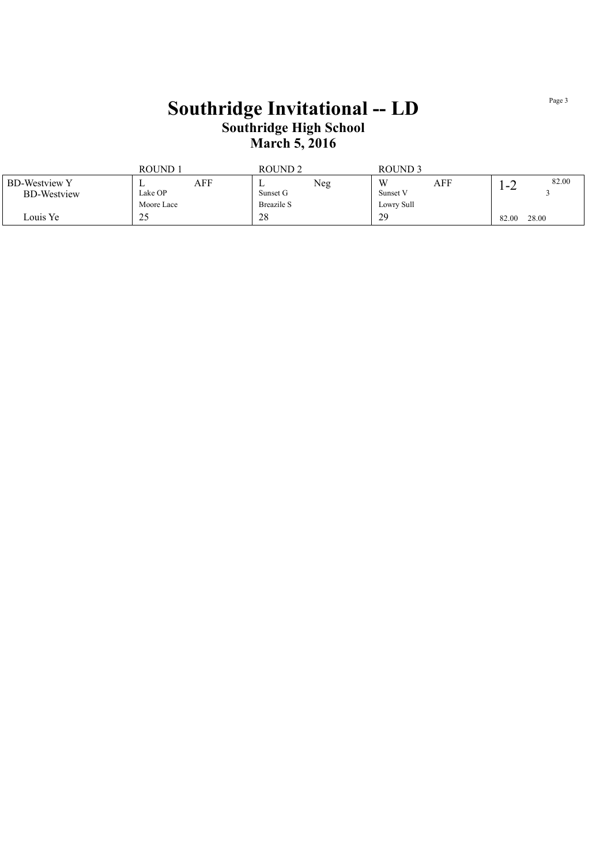|                      | ROUND.     |     | <b>ROUND2</b>     |     | ROUND <sub>3</sub> |     |       |       |
|----------------------|------------|-----|-------------------|-----|--------------------|-----|-------|-------|
| <b>BD-Westview Y</b> |            | AFF | ∸                 | Neg | W                  | AFF | $-2$  | 82.00 |
| <b>BD-Westview</b>   | Lake OP    |     | Sunset G          |     | Sunset V           |     |       |       |
|                      | Moore Lace |     | <b>Breazile S</b> |     | Lowry Sull         |     |       |       |
| Louis Ye             | 25         |     | 28                |     | 29                 |     | 82.00 | 28.00 |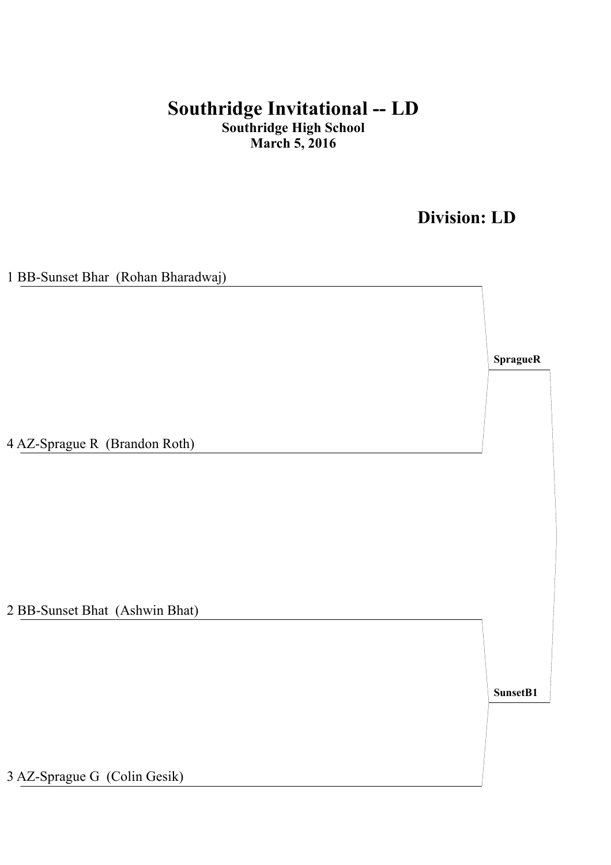## **Division: LD**

| 1 BB-Sunset Bhar (Rohan Bharadwaj) |           |
|------------------------------------|-----------|
|                                    |           |
|                                    |           |
|                                    |           |
|                                    | Sprague R |
|                                    |           |
|                                    |           |
|                                    |           |
|                                    |           |
| 4 AZ-Sprague R (Brandon Roth)      |           |
|                                    |           |
|                                    |           |
|                                    |           |
|                                    |           |
|                                    |           |
|                                    |           |
|                                    |           |
|                                    |           |
| 2 BB-Sunset Bhat (Ashwin Bhat)     |           |
|                                    |           |
|                                    |           |
|                                    |           |
|                                    | SunsetB1  |
|                                    |           |
|                                    |           |
|                                    |           |
|                                    |           |
| 3 AZ-Sprague G (Colin Gesik)       |           |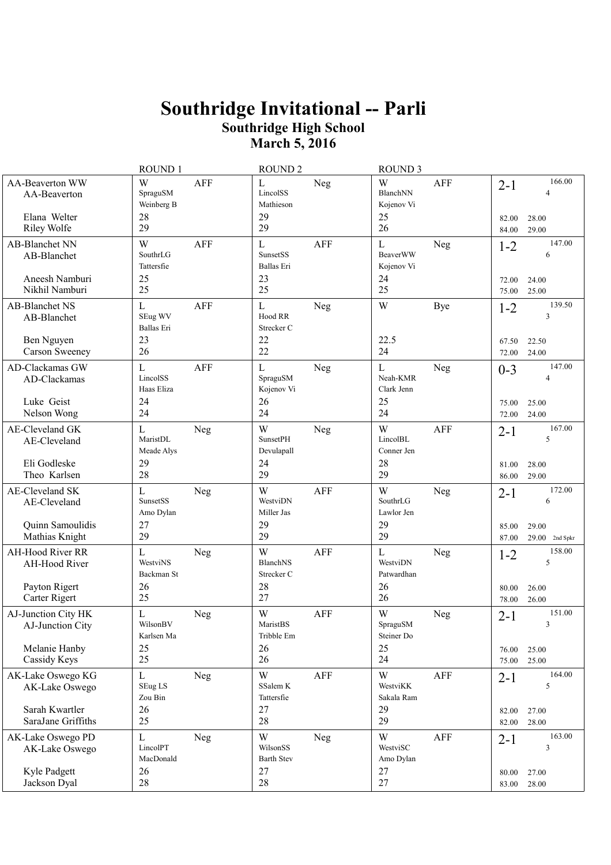|                                                                              | ROUND 1                                                    | <b>ROUND 2</b>                                                          | <b>ROUND 3</b>                                                    |                                                            |
|------------------------------------------------------------------------------|------------------------------------------------------------|-------------------------------------------------------------------------|-------------------------------------------------------------------|------------------------------------------------------------|
| <b>AA-Beaverton WW</b><br>AA-Beaverton<br>Elana Welter<br><b>Riley Wolfe</b> | W<br><b>AFF</b><br>SpraguSM<br>Weinberg B<br>28<br>29      | L<br>Neg<br>LincolSS<br>Mathieson<br>29<br>29                           | W<br><b>AFF</b><br>BlanchNN<br>Kojenov Vi<br>25<br>26             | 166.00<br>$2 - 1$<br>4<br>82.00<br>28.00<br>84.00<br>29.00 |
| AB-Blanchet NN<br>AB-Blanchet<br>Aneesh Namburi                              | W<br><b>AFF</b><br>SouthrLG<br>Tattersfie<br>25            | $\mathbf L$<br><b>AFF</b><br><b>SunsetSS</b><br><b>Ballas</b> Eri<br>23 | $\mathbf{L}$<br><b>Neg</b><br><b>BeaverWW</b><br>Kojenov Vi<br>24 | 147.00<br>$1 - 2$<br>6                                     |
| Nikhil Namburi                                                               | 25                                                         | 25                                                                      | 25                                                                | 72.00<br>24.00<br>25.00<br>75.00                           |
| AB-Blanchet NS<br>AB-Blanchet                                                | $\mathbf L$<br><b>AFF</b><br>SEug WV<br>Ballas Eri<br>23   | $\mathbf L$<br>Neg<br>Hood RR<br>Strecker C<br>22                       | W<br><b>Bye</b><br>22.5                                           | 139.50<br>$1 - 2$<br>3                                     |
| Ben Nguyen<br>Carson Sweeney                                                 | 26                                                         | 22                                                                      | 24                                                                | 67.50<br>22.50<br>24.00<br>72.00                           |
| AD-Clackamas GW<br>AD-Clackamas<br>Luke Geist                                | $\mathbf{L}$<br><b>AFF</b><br>LincolSS<br>Haas Eliza<br>24 | $\mathbf L$<br>Neg<br>SpraguSM<br>Kojenov Vi<br>26                      | $\mathbf{L}$<br><b>Neg</b><br>Neah-KMR<br>Clark Jenn<br>25        | 147.00<br>$0 - 3$<br>75.00<br>25.00                        |
| Nelson Wong                                                                  | 24                                                         | 24                                                                      | 24                                                                | 24.00<br>72.00                                             |
| AE-Cleveland GK<br>AE-Cleveland                                              | $\mathbf{L}$<br>Neg<br>MaristDL<br>Meade Alys              | W<br>Neg<br><b>SunsetPH</b><br>Devulapall                               | W<br>AFF<br>LincolBL<br>Conner Jen                                | 167.00<br>$2 - 1$<br>5                                     |
| Eli Godleske<br>Theo Karlsen                                                 | 29<br>28                                                   | 24<br>29                                                                | 28<br>29                                                          | 81.00<br>28.00<br>86.00<br>29.00                           |
| AE-Cleveland SK<br>AE-Cleveland                                              | L<br>Neg<br>SunsetSS<br>Amo Dylan<br>27                    | W<br><b>AFF</b><br>WestviDN<br>Miller Jas<br>29                         | W<br><b>Neg</b><br>SouthrLG<br>Lawlor Jen<br>29                   | 172.00<br>$2 - 1$<br>6                                     |
| Quinn Samoulidis<br>Mathias Knight                                           | 29                                                         | 29                                                                      | 29                                                                | 29.00<br>85.00<br>87.00<br>$29.00$ 2nd Spkr                |
| AH-Hood River RR<br>AH-Hood River                                            | $\mathbf{L}$<br><b>Neg</b><br>WestviNS<br>Backman St       | W<br><b>AFF</b><br><b>BlanchNS</b><br>Strecker C                        | $\mathbf L$<br><b>Neg</b><br>WestviDN<br>Patwardhan               | 158.00<br>$1 - 2$<br>5                                     |
| Payton Rigert<br>Carter Rigert                                               | 26<br>25                                                   | 28<br>27                                                                | 26<br>26                                                          | 80.00<br>26.00<br>26.00<br>78.00                           |
| AJ-Junction City HK<br>AJ-Junction City                                      | $\mathbf{L}$<br>Neg<br>WilsonBV<br>Karlsen Ma              | W<br>AFF<br>MaristBS<br>Tribble Em                                      | W<br>Neg<br>${\rm SpraguSM}$<br>Steiner Do                        | 151.00<br>$2 - 1$<br>3                                     |
| Melanie Hanby<br>Cassidy Keys                                                | 25<br>25                                                   | 26<br>26                                                                | 25<br>24                                                          | 25.00<br>76.00<br>25.00<br>75.00                           |
| AK-Lake Oswego KG<br>AK-Lake Oswego                                          | $\bf L$<br><b>Neg</b><br>SEug LS<br>Zou Bin                | W<br>AFF<br>SSalem K<br>Tattersfie                                      | W<br>AFF<br>WestviKK<br>Sakala Ram                                | 164.00<br>$2 - 1$<br>5                                     |
| Sarah Kwartler<br>SaraJane Griffiths                                         | 26<br>25                                                   | 27<br>28                                                                | 29<br>29                                                          | 82.00<br>27.00<br>82.00<br>28.00                           |
| AK-Lake Oswego PD<br>AK-Lake Oswego                                          | $\mathbf{L}$<br><b>Neg</b><br>LincolPT<br>MacDonald        | W<br>Neg<br>WilsonSS<br><b>Barth Stev</b>                               | W<br>AFF<br>WestviSC<br>Amo Dylan                                 | 163.00<br>$2 - 1$<br>3                                     |
| Kyle Padgett<br>Jackson Dyal                                                 | 26<br>28                                                   | 27<br>28                                                                | 27<br>27                                                          | 80.00<br>27.00<br>83.00<br>28.00                           |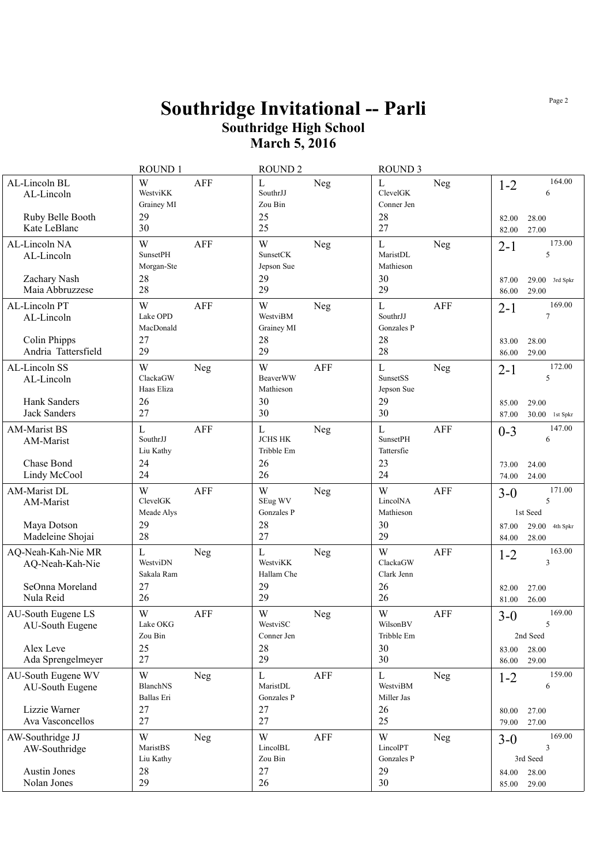|                                                                            | <b>ROUND1</b>                                                  | <b>ROUND 2</b>                                          |            | <b>ROUND 3</b>                                     |            |                           |                                                    |
|----------------------------------------------------------------------------|----------------------------------------------------------------|---------------------------------------------------------|------------|----------------------------------------------------|------------|---------------------------|----------------------------------------------------|
| AL-Lincoln BL<br>AL-Lincoln<br>Ruby Belle Booth<br>Kate LeBlanc            | W<br><b>AFF</b><br>WestviKK<br>Grainey MI<br>29<br>30          | $\Gamma$<br>SouthrJJ<br>Zou Bin<br>25<br>25             | <b>Neg</b> | $\mathbf{L}$<br>ClevelGK<br>Conner Jen<br>28<br>27 | Neg        | $1 - 2$<br>82.00<br>82.00 | 164.00<br>6<br>28.00<br>27.00                      |
| AL-Lincoln NA<br>AL-Lincoln<br>Zachary Nash<br>Maia Abbruzzese             | W<br><b>AFF</b><br><b>SunsetPH</b><br>Morgan-Ste<br>28<br>28   | W<br>SunsetCK<br>Jepson Sue<br>29<br>29                 | Neg        | L<br>MaristDL<br>Mathieson<br>30<br>29             | Neg        | $2 - 1$<br>87.00<br>86.00 | 173.00<br>5<br>$29.00$ 3rd Spkr<br>29.00           |
| AL-Lincoln PT<br>AL-Lincoln<br>Colin Phipps<br>Andria Tattersfield         | <b>AFF</b><br>W<br>Lake OPD<br>MacDonald<br>27<br>29           | W<br>WestviBM<br>Grainey MI<br>28<br>29                 | <b>Neg</b> | L<br>SouthrJJ<br>Gonzales P<br>28<br>28            | <b>AFF</b> | $2 - 1$<br>83.00<br>86.00 | 169.00<br>$\overline{7}$<br>28.00<br>29.00         |
| AL-Lincoln SS<br>AL-Lincoln<br>Hank Sanders<br><b>Jack Sanders</b>         | W<br>Neg<br>ClackaGW<br>Haas Eliza<br>26<br>27                 | W<br><b>BeaverWW</b><br>Mathieson<br>30<br>30           | <b>AFF</b> | $\mathbf{L}$<br>SunsetSS<br>Jepson Sue<br>29<br>30 | Neg        | $2 - 1$<br>85.00<br>87.00 | 172.00<br>5<br>29.00<br>$30.00$ 1st Spkr           |
| <b>AM-Marist BS</b><br>AM-Marist<br>Chase Bond<br>Lindy McCool             | $\mathbf L$<br><b>AFF</b><br>SouthrJJ<br>Liu Kathy<br>24<br>24 | $\mathbf L$<br><b>JCHS HK</b><br>Tribble Em<br>26<br>26 | <b>Neg</b> | L<br><b>SunsetPH</b><br>Tattersfie<br>23<br>24     | AFF        | $0 - 3$<br>73.00<br>74.00 | 147.00<br>6<br>24.00<br>24.00                      |
| AM-Marist DL<br>AM-Marist<br>Maya Dotson<br>Madeleine Shojai               | W<br><b>AFF</b><br>ClevelGK<br>Meade Alys<br>29<br>28          | W<br>SEug WV<br>Gonzales P<br>28<br>27                  | <b>Neg</b> | W<br>LincolNA<br>Mathieson<br>30<br>29             | <b>AFF</b> | $3-0$<br>87.00<br>84.00   | 171.00<br>5<br>1st Seed<br>29.00 4th Spkr<br>28.00 |
| AQ-Neah-Kah-Nie MR<br>AQ-Neah-Kah-Nie<br>SeOnna Moreland<br>Nula Reid      | $\mathbf L$<br>Neg<br>WestviDN<br>Sakala Ram<br>27<br>26       | $\mathbf{L}$<br>WestviKK<br>Hallam Che<br>29<br>29      | Neg        | W<br>ClackaGW<br>Clark Jenn<br>26<br>26            | AFF        | $1 - 2$<br>82.00<br>81.00 | 163.00<br>3<br>27.00<br>26.00                      |
| AU-South Eugene LS<br>AU-South Eugene<br>Alex Leve<br>Ada Sprengelmeyer    | W<br><b>AFF</b><br>Lake OKG<br>Zou Bin<br>25<br>27             | W<br>WestviSC<br>Conner Jen<br>28<br>29                 | Neg        | W<br>WilsonBV<br>Tribble Em<br>30<br>30            | <b>AFF</b> | $3-0$<br>83.00<br>86.00   | 169.00<br>5<br>2nd Seed<br>28.00<br>29.00          |
| AU-South Eugene WV<br>AU-South Eugene<br>Lizzie Warner<br>Ava Vasconcellos | W<br>Neg<br>BlanchNS<br>Ballas Eri<br>27<br>27                 | L<br>MaristDL<br>Gonzales P<br>27<br>27                 | AFF        | L<br>WestviBM<br>Miller Jas<br>26<br>25            | Neg        | $1 - 2$<br>80.00<br>79.00 | 159.00<br>6<br>27.00<br>27.00                      |
| AW-Southridge JJ<br>AW-Southridge<br><b>Austin Jones</b><br>Nolan Jones    | W<br>Neg<br>MaristBS<br>Liu Kathy<br>28<br>29                  | W<br>LincolBL<br>Zou Bin<br>27<br>26                    | AFF        | W<br>LincolPT<br>Gonzales P<br>29<br>30            | <b>Neg</b> | $3-0$<br>84.00<br>85.00   | 169.00<br>3<br>3rd Seed<br>28.00<br>29.00          |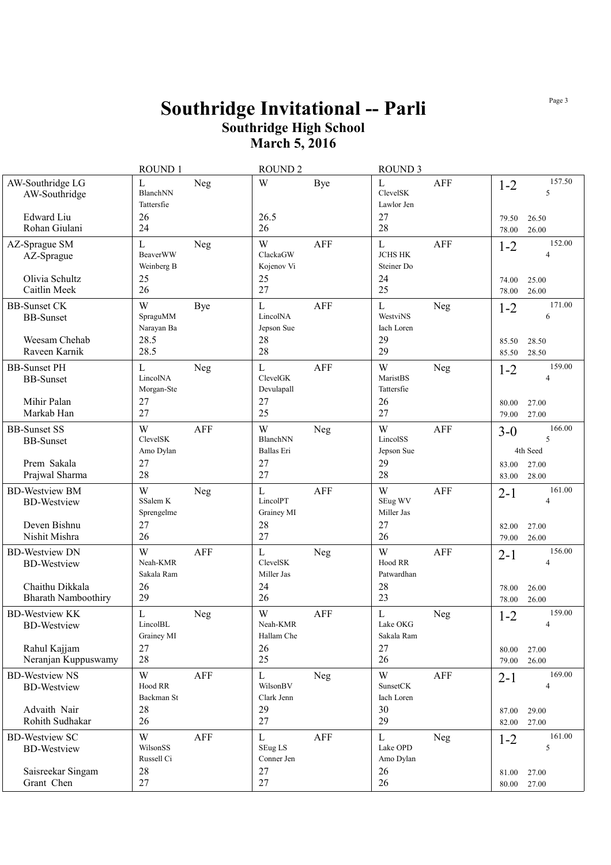|                                                                                              | <b>ROUND1</b>                                            |            | <b>ROUND 2</b>                                     |            | <b>ROUND 3</b>                                           |            |                           |                                            |
|----------------------------------------------------------------------------------------------|----------------------------------------------------------|------------|----------------------------------------------------|------------|----------------------------------------------------------|------------|---------------------------|--------------------------------------------|
| AW-Southridge LG<br>AW-Southridge<br>Edward Liu                                              | L<br>BlanchNN<br>Tattersfie<br>26                        | Neg        | W<br>26.5                                          | Bye        | $\mathbf{L}$<br>ClevelSK<br>Lawlor Jen<br>27             | AFF        | $1 - 2$                   | 157.50<br>5                                |
| Rohan Giulani                                                                                | 24                                                       |            | 26                                                 |            | 28                                                       |            | 79.50<br>78.00            | 26.50<br>26.00                             |
| AZ-Sprague SM<br>AZ-Sprague<br>Olivia Schultz<br>Caitlin Meek                                | $\mathbf L$<br><b>BeaverWW</b><br>Weinberg B<br>25<br>26 | Neg        | W<br>ClackaGW<br>Kojenov Vi<br>25<br>27            | <b>AFF</b> | $\mathbf{L}$<br><b>JCHS HK</b><br>Steiner Do<br>24<br>25 | <b>AFF</b> | $1 - 2$<br>74.00<br>78.00 | 152.00<br>$\overline{4}$<br>25.00<br>26.00 |
| <b>BB-Sunset CK</b><br><b>BB-Sunset</b><br>Weesam Chehab                                     | W<br>SpraguMM<br>Narayan Ba<br>28.5                      | <b>Bye</b> | $\mathbf L$<br>LincolNA<br>Jepson Sue<br>28        | <b>AFF</b> | $\mathbf{L}$<br>WestviNS<br>Iach Loren<br>29             | Neg        | $1 - 2$<br>85.50          | 171.00<br>6<br>28.50                       |
| Raveen Karnik                                                                                | 28.5                                                     |            | 28                                                 |            | 29                                                       |            | 85.50                     | 28.50                                      |
| <b>BB-Sunset PH</b><br><b>BB-Sunset</b><br>Mihir Palan<br>Markab Han                         | L<br>LincolNA<br>Morgan-Ste<br>27<br>27                  | Neg        | $\mathbf L$<br>ClevelGK<br>Devulapall<br>27<br>25  | <b>AFF</b> | W<br>MaristBS<br>Tattersfie<br>26<br>27                  | Neg        | $1 - 2$<br>80.00<br>79.00 | 159.00<br>$\overline{A}$<br>27.00<br>27.00 |
| <b>BB-Sunset SS</b><br><b>BB-Sunset</b><br>Prem Sakala<br>Prajwal Sharma                     | W<br>ClevelSK<br>Amo Dylan<br>27<br>28                   | <b>AFF</b> | W<br>BlanchNN<br><b>Ballas</b> Eri<br>27<br>27     | <b>Neg</b> | W<br>LincolSS<br>Jepson Sue<br>29<br>28                  | AFF        | $3-0$<br>83.00<br>83.00   | 166.00<br>5<br>4th Seed<br>27.00<br>28.00  |
| <b>BD-Westview BM</b><br><b>BD-Westview</b><br>Deven Bishnu<br>Nishit Mishra                 | W<br>SSalem K<br>Sprengelme<br>27<br>26                  | Neg        | $\mathbf L$<br>LincolPT<br>Grainey MI<br>28<br>27  | <b>AFF</b> | W<br>SEug WV<br>Miller Jas<br>27<br>26                   | AFF        | $2 - 1$<br>82.00<br>79.00 | 161.00<br>$\overline{A}$<br>27.00<br>26.00 |
| <b>BD-Westview DN</b><br><b>BD-Westview</b><br>Chaithu Dikkala<br><b>Bharath Namboothiry</b> | W<br>Neah-KMR<br>Sakala Ram<br>26<br>29                  | <b>AFF</b> | $\mathbf{L}$<br>ClevelSK<br>Miller Jas<br>24<br>26 | Neg        | W<br>Hood RR<br>Patwardhan<br>28<br>23                   | <b>AFF</b> | $2 - 1$<br>78.00<br>78.00 | 156.00<br>$\overline{A}$<br>26.00<br>26.00 |
| <b>BD-Westview KK</b><br><b>BD-Westview</b><br>Rahul Kajjam<br>Neranjan Kuppuswamy           | L<br>LincolBL<br>Grainey MI<br>27<br>28                  | Neg        | W<br>Neah-KMR<br>Hallam Che<br>26<br>25            | <b>AFF</b> | L<br>Lake OKG<br>Sakala Ram<br>27<br>26                  | Neg        | $1 - 2$<br>80.00<br>79.00 | 159.00<br>$\overline{4}$<br>27.00<br>26.00 |
| <b>BD-Westview NS</b><br><b>BD-Westview</b><br>Advaith Nair<br>Rohith Sudhakar               | W<br>Hood RR<br>Backman St<br>28<br>26                   | AFF        | $\mathbf L$<br>WilsonBV<br>Clark Jenn<br>29<br>27  | Neg        | W<br><b>SunsetCK</b><br>Iach Loren<br>30<br>29           | AFF        | $2 - 1$<br>87.00<br>82.00 | 169.00<br>$\overline{4}$<br>29.00<br>27.00 |
| <b>BD-Westview SC</b><br><b>BD-Westview</b><br>Saisreekar Singam                             | W<br>WilsonSS<br>Russell Ci<br>28                        | AFF        | $\mathbf L$<br>SEug LS<br>Conner Jen<br>27         | AFF        | $\mathbf L$<br>Lake OPD<br>Amo Dylan<br>26               | Neg        | $1 - 2$<br>81.00          | 161.00<br>5<br>27.00                       |
| Grant Chen                                                                                   | 27                                                       |            | 27                                                 |            | 26                                                       |            | $80.00\quad 27.00$        |                                            |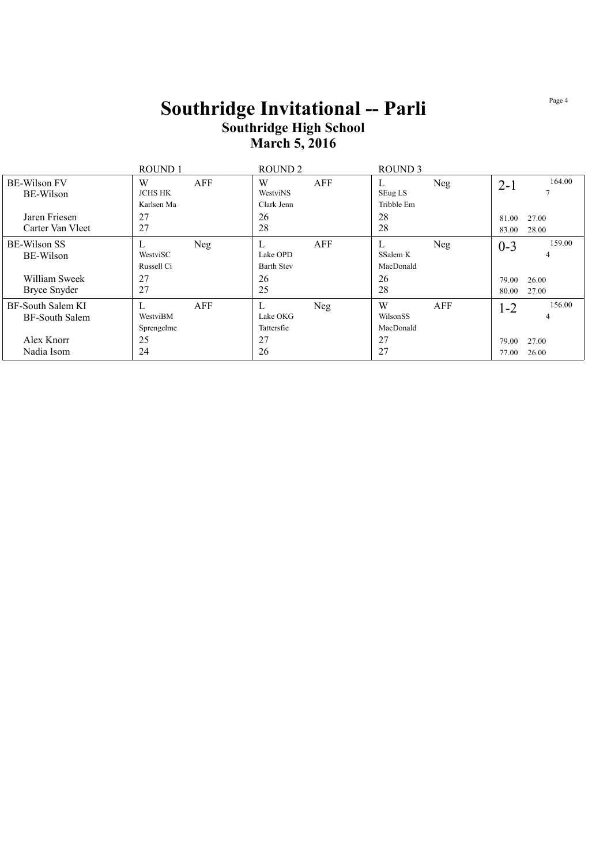|                                            | ROUND <sub>1</sub>                |     | ROUND <sub>2</sub>                 |     | ROUND <sub>3</sub>         |     |                |                |
|--------------------------------------------|-----------------------------------|-----|------------------------------------|-----|----------------------------|-----|----------------|----------------|
| <b>BE-Wilson FV</b><br>BE-Wilson           | W<br><b>JCHS HK</b><br>Karlsen Ma | AFF | W<br>WestviNS<br>Clark Jenn        | AFF | L<br>SEug LS<br>Tribble Em | Neg | $2 - 1$        | 164.00         |
| Jaren Friesen<br>Carter Van Vleet          | 27<br>27                          |     | 26<br>28                           |     | 28<br>28                   |     | 81.00<br>83.00 | 27.00<br>28.00 |
| BE-Wilson SS<br>BE-Wilson                  | WestviSC<br>Russell Ci            | Neg | L<br>Lake OPD<br><b>Barth Stev</b> | AFF | L<br>SSalem K<br>MacDonald | Neg | $0 - 3$        | 159.00<br>4    |
| William Sweek<br>Bryce Snyder              | 27<br>27                          |     | 26<br>25                           |     | 26<br>28                   |     | 79.00<br>80.00 | 26.00<br>27.00 |
| BF-South Salem KI<br><b>BF-South Salem</b> | WestviBM<br>Sprengelme            | AFF | L<br>Lake OKG<br>Tattersfie        | Neg | W<br>WilsonSS<br>MacDonald | AFF | $1 - 2$        | 156.00<br>4    |
| Alex Knorr<br>Nadia Isom                   | 25<br>24                          |     | 27<br>26                           |     | 27<br>27                   |     | 79.00<br>77.00 | 27.00<br>26.00 |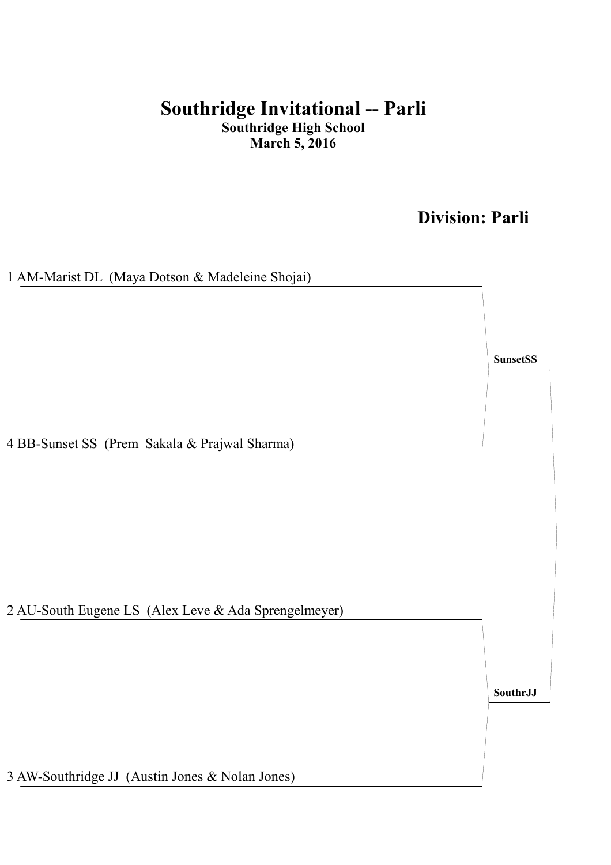## **Division: Parli**

1 AM-Marist DL (Maya Dotson & Madeleine Shojai) 2 AU-South Eugene LS (Alex Leve & Ada Sprengelmeyer) 4 BB-Sunset SS (Prem Sakala & Prajwal Sharma) **SunsetSS SouthrJJ**

3 AW-Southridge JJ (Austin Jones & Nolan Jones)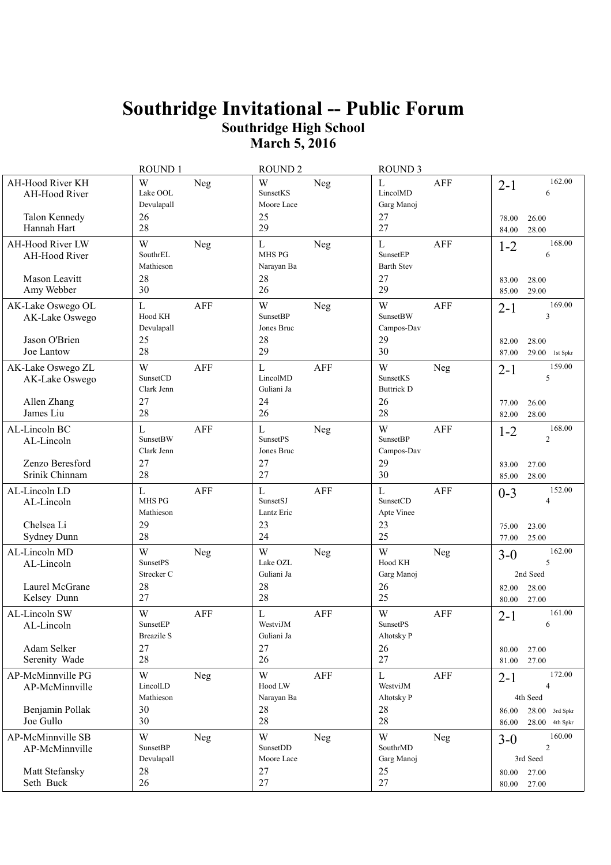|                                                                   | ROUND 1                                               | <b>ROUND 2</b>                                                   | <b>ROUND 3</b>                                               |                                                                        |
|-------------------------------------------------------------------|-------------------------------------------------------|------------------------------------------------------------------|--------------------------------------------------------------|------------------------------------------------------------------------|
| AH-Hood River KH<br>AH-Hood River<br>Talon Kennedy<br>Hannah Hart | W<br>Neg<br>Lake OOL<br>Devulapall<br>26<br>28        | W<br>Neg<br>SunsetKS<br>Moore Lace<br>25<br>29                   | L<br><b>AFF</b><br>LincolMD<br>Garg Manoj<br>27<br>27        | 162.00<br>$2 - 1$<br>6<br>78.00<br>26.00<br>84.00<br>28.00             |
| AH-Hood River LW<br>AH-Hood River                                 | W<br><b>Neg</b><br>SouthrEL<br>Mathieson              | L<br>Neg<br>MHS PG<br>Narayan Ba                                 | $\mathbf L$<br><b>AFF</b><br>SunsetEP<br><b>Barth Stev</b>   | 168.00<br>$1 - 2$<br>6                                                 |
| Mason Leavitt<br>Amy Webber                                       | 28<br>30                                              | 28<br>26                                                         | 27<br>29                                                     | 83.00<br>28.00<br>29.00<br>85.00                                       |
| AK-Lake Oswego OL<br>AK-Lake Oswego<br>Jason O'Brien              | $\mathbf{L}$<br>AFF<br>Hood KH<br>Devulapall<br>25    | W<br>Neg<br><b>SunsetBP</b><br>Jones Bruc<br>28                  | W<br>AFF<br><b>SunsetBW</b><br>Campos-Dav<br>29              | 169.00<br>$2 - 1$<br>3<br>82.00<br>28.00                               |
| Joe Lantow                                                        | 28                                                    | 29                                                               | 30                                                           | 87.00<br>$29.00$ 1st Spkr                                              |
| AK-Lake Oswego ZL<br>AK-Lake Oswego<br>Allen Zhang<br>James Liu   | W<br>AFF<br>SunsetCD<br>Clark Jenn<br>27<br>28        | $\mathbf{L}$<br><b>AFF</b><br>LincolMD<br>Guliani Ja<br>24<br>26 | W<br><b>Neg</b><br>SunsetKS<br><b>Buttrick D</b><br>26<br>28 | 159.00<br>$2 - 1$<br>5<br>77.00<br>26.00<br>28.00<br>82.00             |
| AL-Lincoln BC<br>AL-Lincoln                                       | L<br>AFF<br><b>SunsetBW</b><br>Clark Jenn             | $\mathbf L$<br>Neg<br><b>SunsetPS</b><br>Jones Bruc              | W<br>AFF<br><b>SunsetBP</b><br>Campos-Dav                    | 168.00<br>$1 - 2$<br>2                                                 |
| Zenzo Beresford<br>Srinik Chinnam                                 | 27<br>28                                              | 27<br>27                                                         | 29<br>30                                                     | 83.00<br>27.00<br>28.00<br>85.00                                       |
| AL-Lincoln LD<br>AL-Lincoln                                       | L<br><b>AFF</b><br>MHS PG<br>Mathieson                | $\mathbf L$<br><b>AFF</b><br>SunsetSJ<br>Lantz Eric              | $\mathbf L$<br>AFF<br>SunsetCD<br>Apte Vinee                 | 152.00<br>$0 - 3$<br>4                                                 |
| Chelsea Li<br>Sydney Dunn                                         | 29<br>28                                              | 23<br>24                                                         | 23<br>25                                                     | 75.00<br>23.00<br>25.00<br>77.00                                       |
| AL-Lincoln MD<br>AL-Lincoln<br>Laurel McGrane<br>Kelsey Dunn      | W<br>Neg<br><b>SunsetPS</b><br>Strecker C<br>28<br>27 | W<br>Neg<br>Lake OZL<br>Guliani Ja<br>28<br>28                   | W<br><b>Neg</b><br>Hood KH<br>Garg Manoj<br>26<br>25         | 162.00<br>$3 - 0$<br>5<br>2nd Seed<br>82.00<br>28.00<br>27.00<br>80.00 |
| AL-Lincoln SW<br>AL-Lincoln                                       | W<br>AFF<br>SunsetEP<br><b>Breazile S</b>             | L<br><b>AFF</b><br>WestviJM<br>Guliani Ja                        | W<br><b>AFF</b><br><b>SunsetPS</b><br>Altotsky P             | 161.00<br>$2 - 1$<br>6                                                 |
| Adam Selker<br>Serenity Wade                                      | 27<br>28                                              | 27<br>26                                                         | 26<br>27                                                     | 27.00<br>80.00<br>81.00<br>27.00                                       |
| AP-McMinnville PG<br>AP-McMinnville                               | W<br><b>Neg</b><br>LincolLD<br>Mathieson              | W<br>AFF<br>Hood LW<br>Narayan Ba                                | $\mathbf L$<br>AFF<br>WestviJM<br>Altotsky P                 | 172.00<br>$2 - 1$<br>4<br>4th Seed                                     |
| Benjamin Pollak<br>Joe Gullo                                      | 30<br>30                                              | 28<br>28                                                         | 28<br>28                                                     | $28.00$ 3rd Spkr<br>86.00<br>$28.00$ 4th Spkr<br>86.00                 |
| AP-McMinnville SB<br>AP-McMinnville                               | W<br><b>Neg</b><br><b>SunsetBP</b><br>Devulapall      | W<br>Neg<br>SunsetDD<br>Moore Lace                               | W<br><b>Neg</b><br>SouthrMD<br>Garg Manoj                    | 160.00<br>$3-0$<br>$\overline{c}$<br>3rd Seed                          |
| Matt Stefansky<br>Seth Buck                                       | 28<br>26                                              | 27<br>27                                                         | 25<br>27                                                     | 80.00<br>27.00<br>27.00<br>80.00                                       |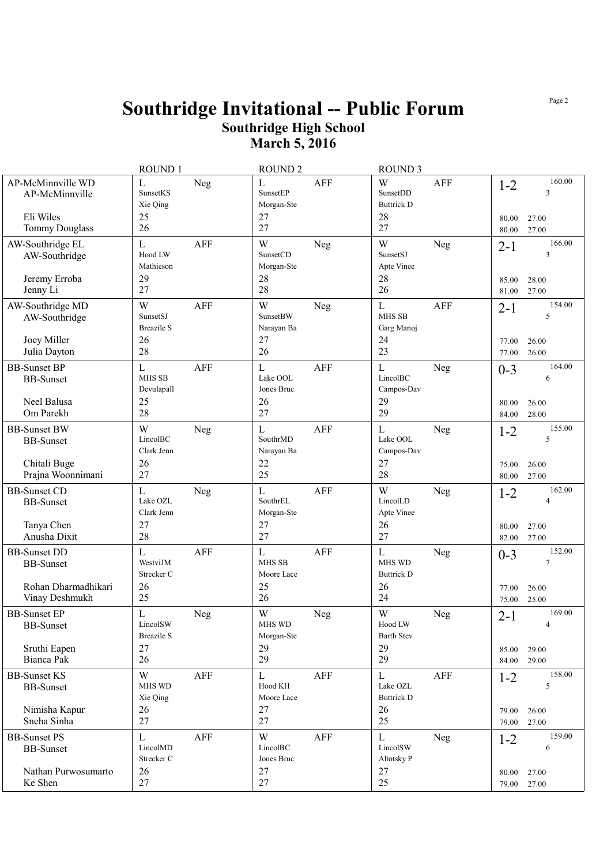|                                                                                  | ROUND 1                                                          | <b>ROUND 2</b>                                    |            | <b>ROUND 3</b>                                            |            |                           |                                            |
|----------------------------------------------------------------------------------|------------------------------------------------------------------|---------------------------------------------------|------------|-----------------------------------------------------------|------------|---------------------------|--------------------------------------------|
| AP-McMinnville WD<br>AP-McMinnville<br>Eli Wiles<br><b>Tommy Douglass</b>        | $\mathbf L$<br>Neg<br>SunsetKS<br>Xie Qing<br>25<br>26           | $\mathbf L$<br>SunsetEP<br>Morgan-Ste<br>27<br>27 | <b>AFF</b> | W<br>SunsetDD<br><b>Buttrick D</b><br>28<br>27            | <b>AFF</b> | $1 - 2$<br>80.00<br>80.00 | 160.00<br>3<br>27.00<br>27.00              |
| AW-Southridge EL<br>AW-Southridge                                                | $\mathbf L$<br><b>AFF</b><br>Hood LW<br>Mathieson                | W<br>SunsetCD<br>Morgan-Ste                       | Neg        | W<br>SunsetSJ<br>Apte Vinee                               | Neg        | $2 - 1$                   | 166.00<br>3                                |
| Jeremy Erroba<br>Jenny Li                                                        | 29<br>27                                                         | 28<br>28                                          |            | 28<br>26                                                  |            | 85.00<br>81.00            | 28.00<br>27.00                             |
| AW-Southridge MD<br>AW-Southridge<br>Joey Miller                                 | W<br><b>AFF</b><br>SunsetSJ<br><b>Breazile S</b><br>26           | W<br><b>SunsetBW</b><br>Narayan Ba<br>27          | Neg        | $\mathbf L$<br>MHS SB<br>Garg Manoj<br>24                 | <b>AFF</b> | $2 - 1$<br>77.00          | 154.00<br>5<br>26.00                       |
| Julia Dayton                                                                     | 28                                                               | 26                                                |            | 23                                                        |            | 77.00                     | 26.00                                      |
| <b>BB-Sunset BP</b><br><b>BB-Sunset</b><br>Neel Balusa<br>Om Parekh              | $\mathbf L$<br><b>AFF</b><br>MHS SB<br>Devulapall<br>25<br>28    | $\mathbf L$<br>Lake OOL<br>Jones Bruc<br>26<br>27 | <b>AFF</b> | L<br>LincolBC<br>Campos-Dav<br>29<br>29                   | Neg        | $0 - 3$<br>80.00<br>84.00 | 164.00<br>6<br>26.00<br>28.00              |
| <b>BB-Sunset BW</b><br><b>BB-Sunset</b><br>Chitali Buge                          | W<br><b>Neg</b><br>LincolBC<br>Clark Jenn<br>26                  | $\mathbf L$<br>SouthrMD<br>Narayan Ba<br>22       | <b>AFF</b> | $\mathbf{L}$<br>Lake OOL<br>Campos-Dav<br>27              | Neg        | $1 - 2$<br>75.00          | 155.00<br>5<br>26.00                       |
| Prajna Woonnimani                                                                | 27                                                               | 25                                                |            | 28                                                        |            | 80.00                     | 27.00                                      |
| <b>BB-Sunset CD</b><br><b>BB-Sunset</b><br>Tanya Chen<br>Anusha Dixit            | $\mathbf L$<br><b>Neg</b><br>Lake OZL<br>Clark Jenn<br>27<br>28  | $\mathbf L$<br>SouthrEL<br>Morgan-Ste<br>27<br>27 | <b>AFF</b> | W<br>LincolLD<br>Apte Vinee<br>26<br>27                   | Neg        | $1 - 2$<br>80.00<br>82.00 | 162.00<br>$\overline{4}$<br>27.00<br>27.00 |
| <b>BB-Sunset DD</b><br><b>BB-Sunset</b><br>Rohan Dharmadhikari<br>Vinay Deshmukh | $\mathbf L$<br><b>AFF</b><br>WestviJM<br>Strecker C<br>26<br>25  | $\mathbf L$<br>MHS SB<br>Moore Lace<br>25<br>26   | <b>AFF</b> | L<br>MHS WD<br><b>Buttrick D</b><br>26<br>24              | Neg        | $0 - 3$<br>77.00<br>75.00 | 152.00<br>7<br>26.00<br>25.00              |
| <b>BB-Sunset EP</b><br><b>BB-Sunset</b><br>Sruthi Eapen<br>Bianca Pak            | $\mathbf{L}$<br>Neg<br>LincolSW<br>Breazile S<br>27<br>26        | W<br>MHS WD<br>Morgan-Ste<br>29<br>29             | Neg        | W<br>Hood LW<br><b>Barth Stev</b><br>29<br>29             | Neg        | $2 - 1$<br>85.00<br>84.00 | 169.00<br>$\overline{4}$<br>29.00<br>29.00 |
| <b>BB-Sunset KS</b><br><b>BB-Sunset</b><br>Nimisha Kapur<br>Sneha Sinha          | W<br>AFF<br>MHS WD<br>Xie Qing<br>26<br>27                       | $\mathbf{L}$<br>Hood KH<br>Moore Lace<br>27<br>27 | AFF        | $\mathbf{L}$<br>Lake OZL<br><b>Buttrick D</b><br>26<br>25 | AFF        | $1 - 2$<br>79.00<br>79.00 | 158.00<br>5<br>26.00<br>27.00              |
| <b>BB-Sunset PS</b><br><b>BB-Sunset</b><br>Nathan Purwosumarto<br>Ke Shen        | $\mathbf{L}$<br><b>AFF</b><br>LincolMD<br>Strecker C<br>26<br>27 | W<br>LincolBC<br>Jones Bruc<br>27<br>27           | AFF        | $\mathbf{L}$<br>LincolSW<br>Altotsky P<br>27<br>25        | Neg        | $1 - 2$<br>80.00<br>79.00 | 159.00<br>6<br>27.00<br>27.00              |
|                                                                                  |                                                                  |                                                   |            |                                                           |            |                           |                                            |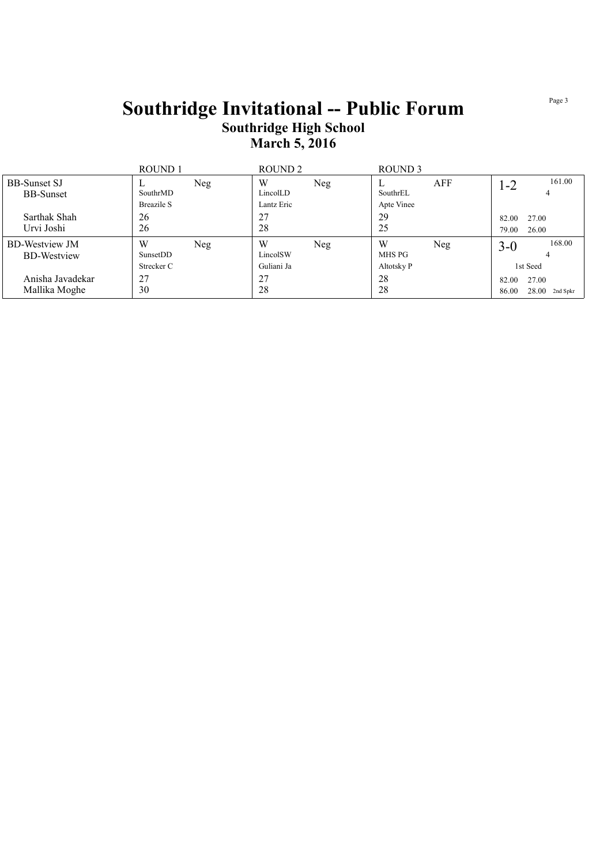|                                             | ROUND 1                       |     | ROUND <sub>2</sub>          |     | ROUND 3                   |            |                |                           |
|---------------------------------------------|-------------------------------|-----|-----------------------------|-----|---------------------------|------------|----------------|---------------------------|
| <b>BB-Sunset SJ</b><br><b>BB-Sunset</b>     | SouthrMD<br><b>Breazile S</b> | Neg | W<br>LincolLD<br>Lantz Eric | Neg | SouthrEL<br>Apte Vinee    | <b>AFF</b> | 1-2            | 161.00<br>4               |
| Sarthak Shah<br>Urvi Joshi                  | 26<br>26                      |     | 27<br>28                    |     | 29<br>25                  |            | 82.00<br>79.00 | 27.00<br>26.00            |
| <b>BD-Westview JM</b><br><b>BD-Westview</b> | W<br>SunsetDD<br>Strecker C   | Neg | W<br>LincolSW<br>Guliani Ja | Neg | W<br>MHS PG<br>Altotsky P | Neg        | $3-0$          | 168.00<br>1st Seed        |
| Anisha Javadekar<br>Mallika Moghe           | 27<br>30                      |     | 27<br>28                    |     | 28<br>28                  |            | 82.00<br>86.00 | 27.00<br>$28.00$ 2nd Spkr |